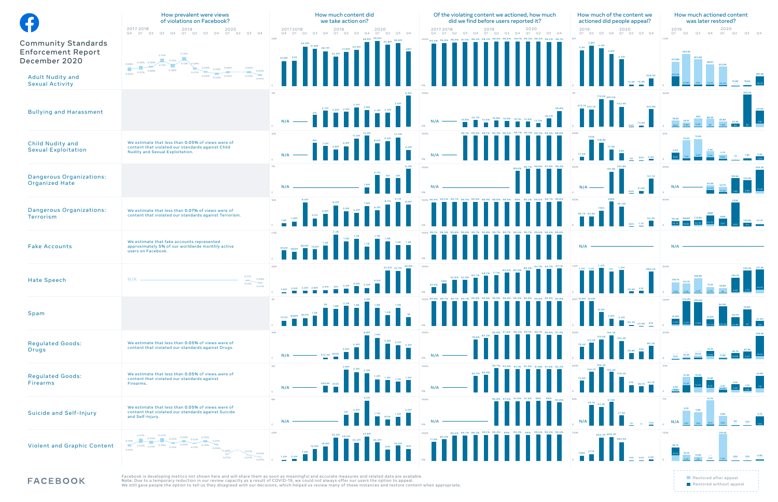Facebook is developing metrics not shown here and will share them as soon as meaningful and accurate measures and related data are available. Note: Due to a temporary reduction in our review capacity as a result of COVID-19, we could not always offer our users the option to appeal. We still gave people the option to tell us they disagreed with our decisions, which helped us review many of these instances and restore content when appropriate.

|                                                                                                                               | How prevalent were views<br>of violations on Facebook?<br>2017 2018<br>2019<br>2020<br>Q3<br>Q <sub>4</sub><br>Q1<br>Q2<br>Q3<br>Q4<br>Q1<br>Q2<br>Q <sub>3</sub><br>Q <sub>4</sub><br>O4<br>Q1<br>Q2                              | How much co<br>we take act<br>2019<br>20172018<br>Q <sub>3</sub><br>Q4<br>$Q1$ $Q2$<br>Q <sub>1</sub><br>Q2<br>Q4 |
|-------------------------------------------------------------------------------------------------------------------------------|------------------------------------------------------------------------------------------------------------------------------------------------------------------------------------------------------------------------------------|-------------------------------------------------------------------------------------------------------------------|
| <b>Community Standards</b><br><b>Enforcement Report</b><br>December 2020<br><b>Adult Nudity and</b><br><b>Sexual Activity</b> | 0.14%<br>0.13%<br>0.10%<br>0.09% 0.09%<br>0.12% 0.08%<br>0.08%<br>0.11%<br>0.06%<br>0.06%<br>0.06%<br>0.05%<br>0.08%<br>0.08%<br>0.04%<br>0.07%<br>0.07%<br>0.06%<br>0.05%<br>0.05%<br>0.05%<br>0.04%<br>0.03%                     | 40M<br>34.9M<br>31.8M<br>28.7M<br>27.8M<br>24.5M<br>20.8M 21M<br>$\Omega$                                         |
| <b>Bullying and Harassment</b>                                                                                                |                                                                                                                                                                                                                                    | 7M<br>2.7M<br>$2.4M$ 2.5M<br>N/A<br>$\circ$<br>14M                                                                |
| Child Nudity and<br><b>Sexual Exploitation</b>                                                                                | We estimate that less than 0.05% of views were of<br>content that violated our standards against Child<br>Nudity and Sexual Exploitation.                                                                                          | 9M<br>6.9M<br>7.2M<br>5.8M<br>N/A<br>$\circ$                                                                      |
| Dangerous Organizations:<br><b>Organized Hate</b>                                                                             |                                                                                                                                                                                                                                    | $7\mathsf{M}$<br>N/A<br>$\circ$                                                                                   |
| Dangerous Organizations:<br>Terrorism                                                                                         | We estimate that less than 0.07% of views were of<br>content that violated our standards against Terrorism.                                                                                                                        | 9.4M<br>10M<br>8.2M<br>5.9M<br>4.9M<br>3.1M<br>1.9M<br>1.1M<br>$\Omega$                                           |
| <b>Fake Accounts</b>                                                                                                          | We estimate that fake accounts represented<br>approximately 5% of our worldwide monthly active<br>users on Facebook.                                                                                                               | 2.2B<br>2.5B<br>1.5B<br>1.2B<br>800M 754M<br>694M<br>583M                                                         |
| <b>Hate Speech</b>                                                                                                            | 0.11%<br>N/A<br>0.08%<br>0.10%<br><b>Contract</b><br>0.07%                                                                                                                                                                         | 30M<br>2.5M 2.9M<br>2.5M<br>1.6M<br>$\Omega$                                                                      |
| Spam                                                                                                                          |                                                                                                                                                                                                                                    | 3B<br>2.2B<br>2B<br>1.8B<br>1.2B<br>836M 957M<br>727M                                                             |
| <b>Regulated Goods:</b><br><b>Drugs</b>                                                                                       | We estimate that less than 0.05% of views were of<br>content that violated our standards against Drugs.                                                                                                                            | 10 <sub>M</sub><br>2.6M<br>$-572.4K$ 820K<br>$N/A$ -<br>$\Omega$                                                  |
| <b>Regulated Goods:</b><br><b>Firearms</b>                                                                                    | We estimate that less than 0.05% of views were of<br>content that violated our standards against<br>Firearms.                                                                                                                      | 3M<br>2.6M<br>689.8K 610K<br>N/A<br>$\circ$                                                                       |
| <b>Suicide and Self-Injury</b>                                                                                                | We estimate that less than 0.05% of views were of<br>content that violated our standards against Suicide<br>and Self-Injury.                                                                                                       | 6M<br>2M<br>N/A<br>$\circ$                                                                                        |
| <b>Violent and Graphic Content</b>                                                                                            | 0.27%<br>0.27%<br>0.25%<br>0.25%<br>0.24%<br>0.23%<br>0.22%<br>0.19%<br>0.21%<br>0.23%<br>0.23%<br>0.23%<br>0.22%<br>0.21%<br>0.21%<br>0.21%<br>$0.20\%$<br>0.16%<br>- N/A -<br>0.08%<br>0.07%<br>0.05%<br>0.07%<br>0.07%<br>0.05% | 40M<br>33.3M 29.2M<br>18.9M<br>15.9M<br>7.9M<br>1.2M<br>3.4M                                                      |

**FACEBOOK** 



| 73.1K        | 59.6K          | 145.7K | 232.4K | 211.2K      |
|--------------|----------------|--------|--------|-------------|
| 2.4K         | 1K             | 4.4K   | 4.7K   | 48.2K       |
| 31.6M        | 94.5M          | 43.7M  | 74.9M  | 21.4M       |
| 527.2K       | 535.9K         | 24.8K  | 90     | 700         |
| 74.7K        | 27.8K          | 46.7K  | 82.9K  | 316.5K      |
| 51.9K        | 11.6K          | 16.9K  | 6.4K   | 58.6K       |
| 12.5K        | 5.1K           | 9.1K   | 7.7K   | 24.9K       |
| 8.7K         | 4.5K           | 4.6K   | 2.1K   | 7.1K        |
| 10.7K<br>300 | 3.9K<br>200    | 60     | 100    | 3.7K<br>100 |
| 5.1K<br>700  | 119.4K<br>1.5V | 200    | 700    | 4.9K        |

-----------------------------Restored after appeal Restored without appeal

-----------------------------